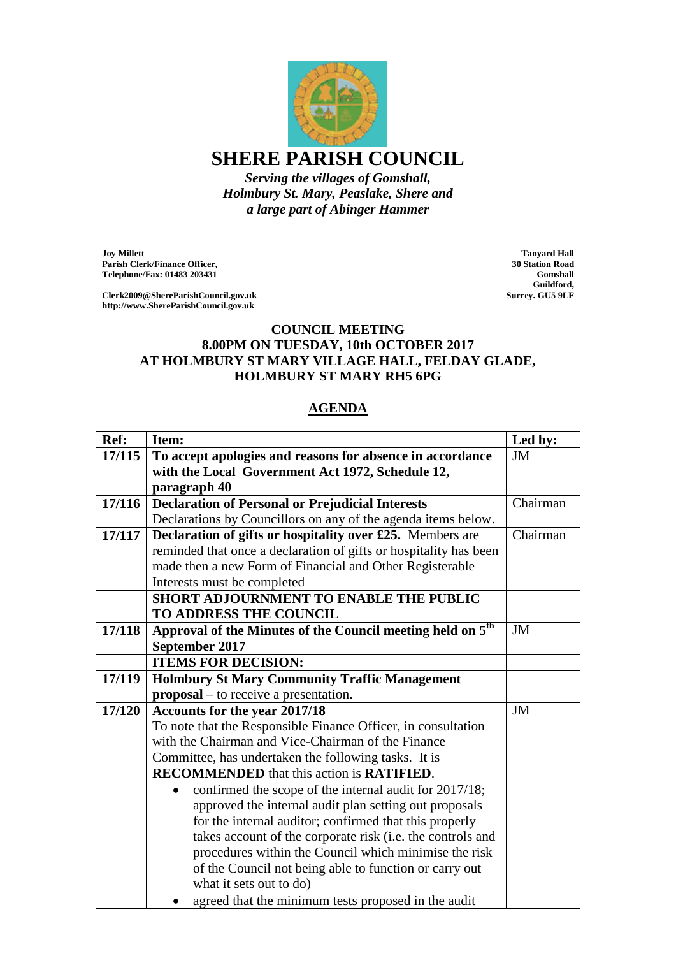

*Holmbury St. Mary, Peaslake, Shere and a large part of Abinger Hammer*

**Joy Millett Parish Clerk/Finance Officer, Telephone/Fax: 01483 203431**

**Clerk2009@ShereParishCouncil.gov.uk http://www.ShereParishCouncil.gov.uk**

**Tanyard Hall 30 Station Road Gomshall Guildford, Surrey. GU5 9LF**

## **COUNCIL MEETING 8.00PM ON TUESDAY, 10th OCTOBER 2017 AT HOLMBURY ST MARY VILLAGE HALL, FELDAY GLADE, HOLMBURY ST MARY RH5 6PG**

## **AGENDA**

| Ref:   | Item:                                                                  | Led by:   |
|--------|------------------------------------------------------------------------|-----------|
| 17/115 | To accept apologies and reasons for absence in accordance              | <b>JM</b> |
|        | with the Local Government Act 1972, Schedule 12,                       |           |
|        | paragraph 40                                                           |           |
| 17/116 | <b>Declaration of Personal or Prejudicial Interests</b>                | Chairman  |
|        | Declarations by Councillors on any of the agenda items below.          |           |
| 17/117 | Declaration of gifts or hospitality over £25. Members are              | Chairman  |
|        | reminded that once a declaration of gifts or hospitality has been      |           |
|        | made then a new Form of Financial and Other Registerable               |           |
|        | Interests must be completed                                            |           |
|        | <b>SHORT ADJOURNMENT TO ENABLE THE PUBLIC</b>                          |           |
|        | TO ADDRESS THE COUNCIL                                                 |           |
| 17/118 | Approval of the Minutes of the Council meeting held on 5 <sup>th</sup> | JM        |
|        | September 2017                                                         |           |
|        | <b>ITEMS FOR DECISION:</b>                                             |           |
| 17/119 | <b>Holmbury St Mary Community Traffic Management</b>                   |           |
|        | $proposal – to receive a presentation.$                                |           |
| 17/120 | Accounts for the year 2017/18                                          | <b>JM</b> |
|        | To note that the Responsible Finance Officer, in consultation          |           |
|        | with the Chairman and Vice-Chairman of the Finance                     |           |
|        | Committee, has undertaken the following tasks. It is                   |           |
|        | <b>RECOMMENDED</b> that this action is <b>RATIFIED</b> .               |           |
|        | confirmed the scope of the internal audit for 2017/18;                 |           |
|        | approved the internal audit plan setting out proposals                 |           |
|        | for the internal auditor; confirmed that this properly                 |           |
|        | takes account of the corporate risk (i.e. the controls and             |           |
|        | procedures within the Council which minimise the risk                  |           |
|        | of the Council not being able to function or carry out                 |           |
|        | what it sets out to do)                                                |           |
|        | agreed that the minimum tests proposed in the audit                    |           |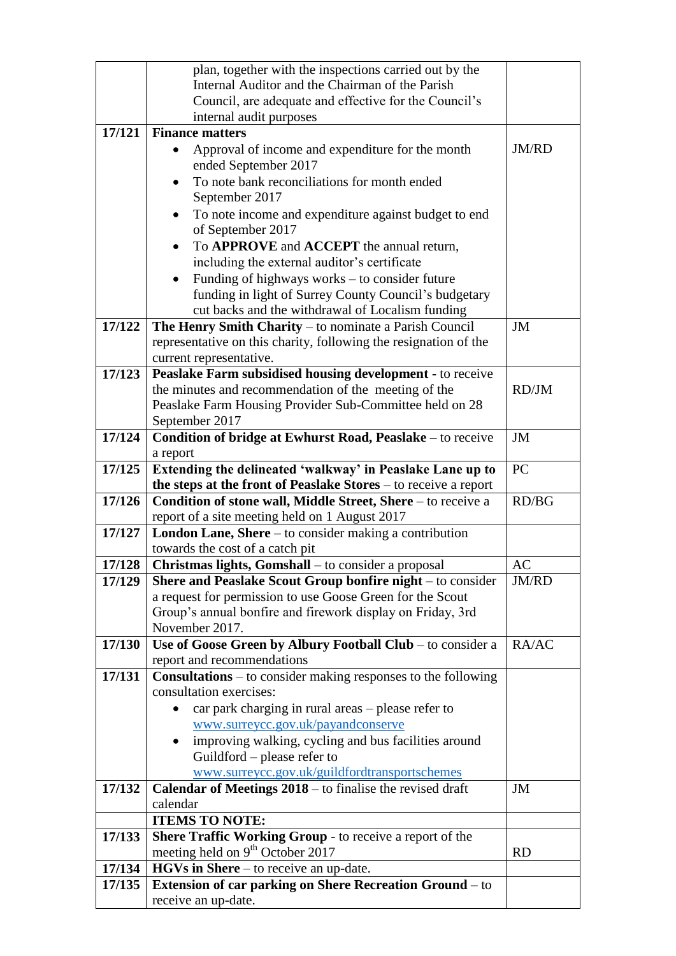|        | plan, together with the inspections carried out by the                                                   |              |
|--------|----------------------------------------------------------------------------------------------------------|--------------|
|        | Internal Auditor and the Chairman of the Parish                                                          |              |
|        | Council, are adequate and effective for the Council's                                                    |              |
|        | internal audit purposes                                                                                  |              |
| 17/121 | <b>Finance matters</b>                                                                                   |              |
|        | Approval of income and expenditure for the month                                                         | <b>JM/RD</b> |
|        | ended September 2017<br>To note bank reconciliations for month ended                                     |              |
|        | September 2017                                                                                           |              |
|        | To note income and expenditure against budget to end<br>$\bullet$<br>of September 2017                   |              |
|        | To APPROVE and ACCEPT the annual return,                                                                 |              |
|        | including the external auditor's certificate                                                             |              |
|        | Funding of highways works $-$ to consider future<br>$\bullet$                                            |              |
|        | funding in light of Surrey County Council's budgetary                                                    |              |
|        | cut backs and the withdrawal of Localism funding                                                         |              |
| 17/122 | The Henry Smith Charity – to nominate a Parish Council                                                   | JM           |
|        | representative on this charity, following the resignation of the                                         |              |
|        | current representative.                                                                                  |              |
| 17/123 | Peaslake Farm subsidised housing development - to receive                                                |              |
|        | the minutes and recommendation of the meeting of the                                                     | RD/JM        |
|        | Peaslake Farm Housing Provider Sub-Committee held on 28                                                  |              |
|        | September 2017                                                                                           |              |
| 17/124 | Condition of bridge at Ewhurst Road, Peaslake – to receive<br>a report                                   | JM           |
| 17/125 | Extending the delineated 'walkway' in Peaslake Lane up to                                                | PC           |
|        | the steps at the front of Peaslake Stores $-$ to receive a report                                        |              |
| 17/126 | Condition of stone wall, Middle Street, Shere - to receive a                                             | RD/BG        |
|        | report of a site meeting held on 1 August 2017                                                           |              |
| 17/127 | London Lane, Shere – to consider making a contribution                                                   |              |
|        | towards the cost of a catch pit                                                                          |              |
| 17/128 | <b>Christmas lights, Gomshall</b> – to consider a proposal                                               | AC           |
| 17/129 | Shere and Peaslake Scout Group bonfire night – to consider                                               | JM/RD        |
|        | a request for permission to use Goose Green for the Scout                                                |              |
|        | Group's annual bonfire and firework display on Friday, 3rd<br>November 2017.                             |              |
| 17/130 | Use of Goose Green by Albury Football Club - to consider a                                               | RA/AC        |
|        | report and recommendations                                                                               |              |
| 17/131 | <b>Consultations</b> – to consider making responses to the following                                     |              |
|        | consultation exercises:                                                                                  |              |
|        | car park charging in rural areas – please refer to                                                       |              |
|        | www.surreycc.gov.uk/payandconserve                                                                       |              |
|        | improving walking, cycling and bus facilities around                                                     |              |
|        | Guildford – please refer to                                                                              |              |
|        | www.surreycc.gov.uk/guildfordtransportschemes                                                            |              |
| 17/132 | <b>Calendar of Meetings <math>2018 -</math></b> to finalise the revised draft                            | JM           |
|        | calendar                                                                                                 |              |
|        | <b>ITEMS TO NOTE:</b>                                                                                    |              |
| 17/133 | Shere Traffic Working Group - to receive a report of the<br>meeting held on 9 <sup>th</sup> October 2017 |              |
| 17/134 | HGVs in Shere – to receive an up-date.                                                                   | <b>RD</b>    |
| 17/135 | <b>Extension of car parking on Shere Recreation Ground - to</b>                                          |              |
|        | receive an up-date.                                                                                      |              |
|        |                                                                                                          |              |